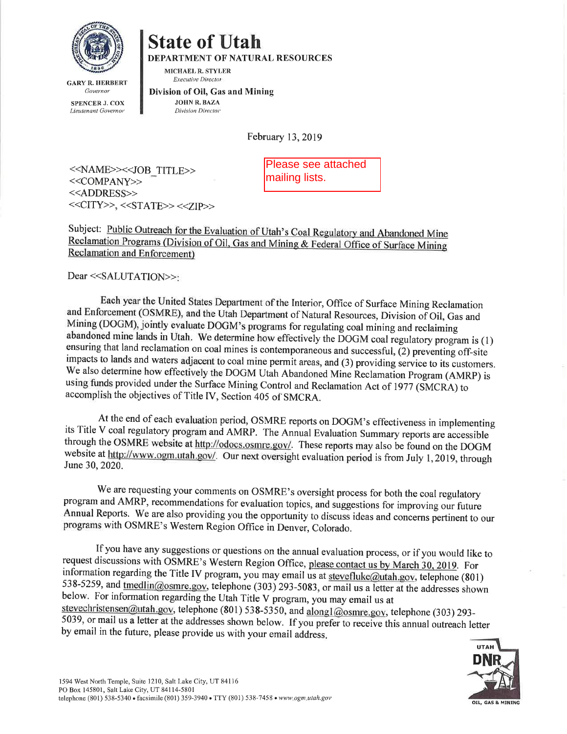

**DEPARTMENT OF NATURAL RESOURCES** 

**GARY R. HERBERT** Governor

**SPENCER J. COX** Lieutenant Governor

## MICHAEL R. STYLER Executive Director

**State of Utah** 

Division of Oil, Gas and Mining **JOHN R. BAZA** 

Division Director

February 13, 2019

<<NAME>><<JOB TITLE>>  $<<$ COMPANY>> <<ADDRESS>>  $<<$ CITY>>,  $<<$ STATE>>  $<<$ ZIP>>

Please see attached mailing lists.

Subject: Public Outreach for the Evaluation of Utah's Coal Regulatory and Abandoned Mine Reclamation Programs (Division of Oil, Gas and Mining & Federal Office of Surface Mining **Reclamation and Enforcement)** 

Dear <<SALUTATION>>:

Each year the United States Department of the Interior, Office of Surface Mining Reclamation and Enforcement (OSMRE), and the Utah Department of Natural Resources, Division of Oil, Gas and Mining (DOGM), jointly evaluate DOGM's programs for regulating coal mining and reclaiming abandoned mine lands in Utah. We determine how effectively the DOGM coal regulatory program is (1) ensuring that land reclamation on coal mines is contemporaneous and successful,  $(2)$  preventing off-site impacts to lands and waters adjacent to coal mine permit areas, and (3) providing service to its customers. We also determine how effectively the DOGM Utah Abandoned Mine Reclamation Program (AMRP) is using funds provided under the Surface Mining Control and Reclamation Act of 1977 (SMCRA) to accomplish the objectives of Title IV, Section 405 of SMCRA.

At the end of each evaluation period, OSMRE reports on DOGM's effectiveness in implementing its Title V coal regulatory program and AMRP. The Annual Evaluation Summary reports are accessible through the OSMRE website at http://odocs.osmre.gov/. These reports may also be found on the DOGM website at http://www.ogm.utah.gov/. Our next oversight evaluation period is from July 1, 2019, through June 30, 2020.

We are requesting your comments on OSMRE's oversight process for both the coal regulatory program and AMRP, recommendations for evaluation topics, and suggestions for improving our future Annual Reports. We are also providing you the opportunity to discuss ideas and concerns pertinent to our programs with OSMRE's Western Region Office in Denver, Colorado.

If you have any suggestions or questions on the annual evaluation process, or if you would like to request discussions with OSMRE's Western Region Office, please contact us by March 30, 2019. For information regarding the Title IV program, you may email us at stevefluke@utah.gov, telephone (801) 538-5259, and tmedlin@osmre.gov, telephone (303) 293-5083, or mail us a letter at the addresses shown below. For information regarding the Utah Title V program, you may email us at stevechristensen@utah.gov, telephone (801) 538-5350, and along1@osmre.gov, telephone (303) 293-5039, or mail us a letter at the addresses shown below. If you prefer to receive this annual outreach letter by email in the future, please provide us with your email address.

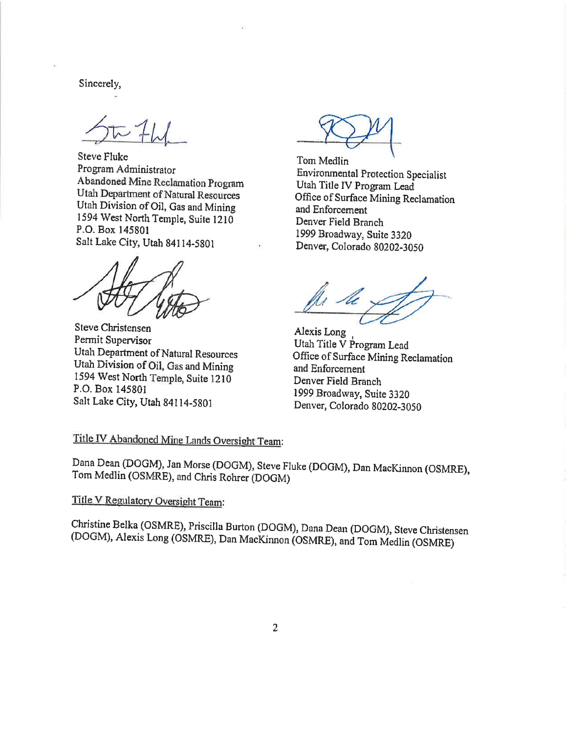Sincerely.

**Steve Fluke** Program Administrator Abandoned Mine Reclamation Program Utah Department of Natural Resources Utah Division of Oil, Gas and Mining 1594 West North Temple, Suite 1210 P.O. Box 145801 Salt Lake City, Utah 84114-5801

**Steve Christensen** Permit Supervisor Utah Department of Natural Resources Utah Division of Oil, Gas and Mining 1594 West North Temple, Suite 1210 P.O. Box 145801 Salt Lake City, Utah 84114-5801

Tom Medlin **Environmental Protection Specialist** Utah Title IV Program Lead Office of Surface Mining Reclamation and Enforcement Denver Field Branch 1999 Broadway, Suite 3320 Denver, Colorado 80202-3050

Alexis Long Utah Title V Program Lead Office of Surface Mining Reclamation and Enforcement Denver Field Branch 1999 Broadway, Suite 3320 Denver, Colorado 80202-3050

Title IV Abandoned Mine Lands Oversight Team:

Dana Dean (DOGM), Jan Morse (DOGM), Steve Fluke (DOGM), Dan MacKinnon (OSMRE), Tom Medlin (OSMRE), and Chris Rohrer (DOGM)

Title V Regulatory Oversight Team:

Christine Belka (OSMRE), Priscilla Burton (DOGM), Dana Dean (DOGM), Steve Christensen (DOGM), Alexis Long (OSMRE), Dan MacKinnon (OSMRE), and Tom Medlin (OSMRE)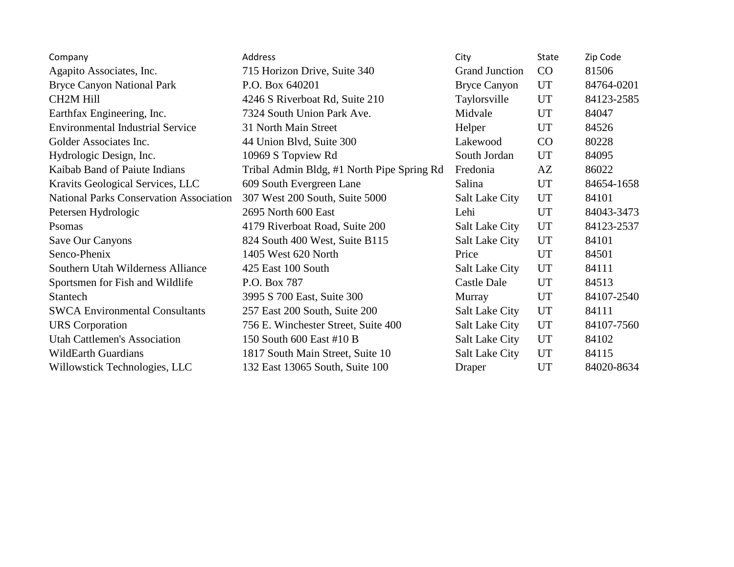| Company                                        | <b>Address</b>                             | City                  | <b>State</b> | Zip Code   |
|------------------------------------------------|--------------------------------------------|-----------------------|--------------|------------|
| Agapito Associates, Inc.                       | 715 Horizon Drive, Suite 340               | <b>Grand Junction</b> | CO           | 81506      |
| <b>Bryce Canyon National Park</b>              | P.O. Box 640201                            | <b>Bryce Canyon</b>   | <b>UT</b>    | 84764-0201 |
| <b>CH2M Hill</b>                               | 4246 S Riverboat Rd, Suite 210             | Taylorsville          | UT           | 84123-2585 |
| Earthfax Engineering, Inc.                     | 7324 South Union Park Ave.                 | Midvale               | <b>UT</b>    | 84047      |
| <b>Environmental Industrial Service</b>        | 31 North Main Street                       | Helper                | <b>UT</b>    | 84526      |
| Golder Associates Inc.                         | 44 Union Blvd, Suite 300                   | Lakewood              | CO           | 80228      |
| Hydrologic Design, Inc.                        | 10969 S Topview Rd                         | South Jordan          | UT           | 84095      |
| Kaibab Band of Paiute Indians                  | Tribal Admin Bldg, #1 North Pipe Spring Rd | Fredonia              | AZ           | 86022      |
| Kravits Geological Services, LLC               | 609 South Evergreen Lane                   | Salina                | <b>UT</b>    | 84654-1658 |
| <b>National Parks Conservation Association</b> | 307 West 200 South, Suite 5000             | <b>Salt Lake City</b> | UT           | 84101      |
| Petersen Hydrologic                            | 2695 North 600 East                        | Lehi                  | <b>UT</b>    | 84043-3473 |
| Psomas                                         | 4179 Riverboat Road, Suite 200             | <b>Salt Lake City</b> | UT           | 84123-2537 |
| Save Our Canyons                               | 824 South 400 West, Suite B115             | <b>Salt Lake City</b> | <b>UT</b>    | 84101      |
| Senco-Phenix                                   | 1405 West 620 North                        | Price                 | UT           | 84501      |
| Southern Utah Wilderness Alliance              | 425 East 100 South                         | <b>Salt Lake City</b> | UT           | 84111      |
| Sportsmen for Fish and Wildlife                | P.O. Box 787                               | Castle Dale           | <b>UT</b>    | 84513      |
| <b>Stantech</b>                                | 3995 S 700 East, Suite 300                 | Murray                | <b>UT</b>    | 84107-2540 |
| <b>SWCA Environmental Consultants</b>          | 257 East 200 South, Suite 200              | <b>Salt Lake City</b> | UT           | 84111      |
| <b>URS</b> Corporation                         | 756 E. Winchester Street, Suite 400        | <b>Salt Lake City</b> | UT           | 84107-7560 |
| <b>Utah Cattlemen's Association</b>            | 150 South 600 East #10 B                   | <b>Salt Lake City</b> | UT           | 84102      |
| <b>WildEarth Guardians</b>                     | 1817 South Main Street, Suite 10           | <b>Salt Lake City</b> | UT           | 84115      |
| Willowstick Technologies, LLC                  | 132 East 13065 South, Suite 100            | Draper                | <b>UT</b>    | 84020-8634 |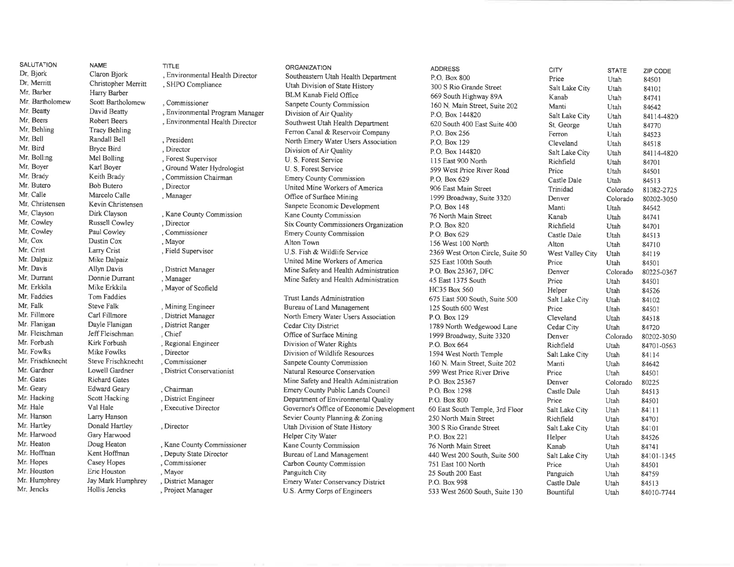| <b>SALUTATION</b>        | <b>NAME</b>               | <b>TITLE</b>                    |                                                          |                                  |                  |              |            |
|--------------------------|---------------------------|---------------------------------|----------------------------------------------------------|----------------------------------|------------------|--------------|------------|
| Dr. Bjork                | Claron Bjork              | , Environmental Health Director | <b>ORGANIZATION</b>                                      | <b>ADDRESS</b>                   | <b>CITY</b>      | <b>STATE</b> | ZIP CODE   |
| Dr. Merritt              | Christopher Merritt       | , SHPO Compliance               | Southeastern Utah Health Department                      | P.O. Box 800                     | Price            | Utah         | 84501      |
| Mr. Barber               | Harry Barber              |                                 | Utah Division of State History<br>BLM Kanab Field Office | 300 S Rio Grande Street          | Salt Lake City   | Utah         | 84101      |
| Mr. Bartholomew          | Scott Bartholomew         | . Commissioner                  |                                                          | 669 South Highway 89A            | Kanab            | Utah         | 84741      |
| Mr. Beatty               | David Beatty              | , Environmental Program Manager | Sanpete County Commission                                | 160 N, Main Street, Suite 202    | Manti            | Utah         | 84642      |
| Mr. Beers                | Robert Beers              | , Environmental Health Director | Division of Air Quality                                  | P.O. Box 144820                  | Salt Lake City   | Utah         | 84114-4820 |
| Mr. Behling              | <b>Tracy Behling</b>      |                                 | Southwest Utah Health Department                         | 620 South 400 East Suite 400     | St. George       | Utah         | 84770      |
| Mr. Bell                 | Randall Bell              | , President                     | Ferron Canal & Reservoir Company                         | P.O. Box 256                     | Ferron           | Utah         | 84523      |
| Mr. Bird                 | <b>Bryce Bird</b>         | , Director                      | North Emery Water Users Association                      | P.O. Box 129                     | Cleveland        | Utah         | 84518      |
| $Mri$ Bolling            | Mel Bolling               |                                 | Division of Air Quality                                  | P.O. Box 144820                  | Salt Lake City   | Utah         | 84114-4820 |
| Mr. Boyer                | Karl Boyer                | , Forest Supervisor             | U. S. Forest Service                                     | 115 East 900 North               | Richfield        | Utah         | 84701      |
| Mr. Brady                | Keith Brady               | , Ground Water Hydrologist      | U. S. Forest Service                                     | 599 West Price River Road        | Price            | Utah         | 84501      |
| Mr. Butero               | <b>Bob Butero</b>         | , Commission Chairman           | <b>Emery County Commission</b>                           | P.O. Box 629                     | Castle Dale      | Utah         | 84513      |
| Mr. Calle                | Marcelo Calle             | , Director                      | United Mine Workers of America                           | 906 East Main Street             | Trinidad         | Colorado     | 81082-2725 |
| Mr. Christensen          | Kevin Christensen         | , Manager                       | Office of Surface Mining                                 | 1999 Broadway, Suite 3320        | Denver           | Colorado     | 80202-3050 |
| Mr. Clayson              | Dirk Clayson              |                                 | Sanpete Economic Development                             | P.O. Box 148                     | Manti            | Utah         | 84642      |
| Mr. Cowley               |                           | , Kane County Commission        | Kane County Commission                                   | 76 North Main Street             | Kanab            | Utah         | 84741      |
| Mr. Cowley               | Russell Cowley            | , Director                      | Six County Commissioners Organization                    | P.O. Box 820                     | Richfield        | Utah         | 84701      |
| Mr. Cox                  | Paul Cowley<br>Dustin Cox | , Commissioner                  | <b>Emery County Commission</b>                           | P.O. Box 629                     | Castle Dale      | Utah         | 84513      |
| Mr. Crist                |                           | , Mayor                         | Alton Town                                               | 156 West 100 North               | Alton            | Utah         | 84710      |
| Mr. Dalpaiz              | Larry Crist               | , Field Supervisor              | U.S. Fish & Wildlife Service                             | 2369 West Orton Circle, Suite 50 | West Valley City | Utah         | 84119      |
|                          | Mike Dalpaiz              |                                 | United Mine Workers of America                           | 525 East 100th South             | Price            | Utah         | 84501      |
| Mr. Davis<br>Mr. Durrant | Allyn Davis               | , District Manager              | Mine Safety and Health Administration                    | P.O. Box 25367, DFC              | Denver           | Colorado     | 80225-0367 |
|                          | Donnie Durrant            | , Manager                       | Mine Safety and Health Administration                    | 45 East 1375 South               | Price            | Utah         | 84501      |
| Mr. Erkkila              | Mike Erkkila              | , Mayor of Scofield             |                                                          | HC35 Box 560                     | Helper           | Utah         | 84526      |
| Mr. Faddies              | Tom Faddies               |                                 | <b>Trust Lands Administration</b>                        | 675 East 500 South, Suite 500    | Salt Lake City   | Utah         | 84102      |
| Mr. Falk                 | <b>Steve Falk</b>         | , Mining Engineer               | Bureau of Land Management                                | 125 South 600 West               | Price            | Utah         | 84501      |
| Mr. Fillmore             | Carl Fillmore             | , District Manager              | North Emery Water Users Association                      | P.O. Box 129                     | Cleveland        | Utah         | 84518      |
| Mr. Flanigan             | Dayle Flanigan            | , District Ranger               | Cedar City District                                      | 1789 North Wedgewood Lane        | Cedar City       | Utah         | 84720      |
| Mr. Fleischman           | Jeff Fleischman           | , Chief                         | Office of Surface Mining                                 | 1999 Broadway, Suite 3320        | Denver           | Colorado     | 80202-3050 |
| Mr. Forbush              | Kirk Forbush              | , Regional Engineer             | Division of Water Rights                                 | P.O. Box 664                     | Richfield        | Utah         | 84701-0563 |
| Mr. Fowlks               | Mike Fowlks               | , Director                      | Division of Wildlife Resources                           | 1594 West North Temple           | Salt Lake City   | Utah         | 84114      |
| Mr. Frischknecht         | Steve Frischknecht        | , Commissioner                  | Sanpete County Commission                                | 160 N. Main Street, Suite 202    | Manti            | Utah         | 84642      |
| Mr. Gardner              | Lowell Gardner            | District Conservationist        | Natural Resource Conservation                            | 599 West Price River Drive       | Price            | Utah         | 84501      |
| Mr. Gates                | <b>Richard Gates</b>      |                                 | Mine Safety and Health Administration                    | P.O. Box 25367                   | Denver           | Colorado     | 80225      |
| Mr. Geary                | Edward Geary              | . Chairman                      | Emery County Public Lands Council                        | P.O. Box 1298                    | Castle Dale      | Utah         | 84513      |
| Mr. Hacking              | Scott Hacking             | , District Engineer             | Department of Environmental Quality                      | P.O. Box 800                     | Price            | Utah         | 84501      |
| Mr. Hale                 | Val Hale                  | , Executive Director            | Governor's Office of Economic Development                | 60 East South Temple, 3rd Floor  | Salt Lake City   | Utah         | 84111      |
| Mr. Hanson               | Larry Hanson              |                                 | Sevier County Planning & Zoning                          | 250 North Main Street            | Richfield        | Utah         | 84701      |
| Mr. Hartley              | Donald Hartley            | . Director                      | Utah Division of State History                           | 300 S Rio Grande Street          | Salt Lake City   | Utah         | 84101      |
| Mr. Harwood              | Gary Harwood              |                                 | Helper City Water                                        | P.O. Box 221                     | Helper           | Utah         | 84526      |
| Mr. Heaton               | Doug Heaton               | , Kane County Commissioner      | Kane County Commission                                   | 76 North Main Street             | Kanab            | Utah         | 84741      |
| Mr. Hoffman              | Kent Hoffman              | , Deputy State Director         | Bureau of Land Management                                | 440 West 200 South, Suite 500    | Salt Lake City   | Utah         | 84101-1345 |
| Mr. Hopes                | Casey Hopes               | , Commissioner                  | Carbon County Commission                                 | 751 East 100 North               | Price            | Utah         | 84501      |
| Mr. Houston              | Eric Houston              | , Mayor                         | Panguitch City                                           | 25 South 200 East                | Panguich         | Utah         | 84759      |
| Mr. Humphrey             | Jay Mark Humphrey         | District Manager                | Emery Water Conservancy District                         | P.O. Box 998                     | Castle Dale      | Utah         | 84513      |
| Mr. Jencks               | Hollis Jencks             | , Project Manager               | U.S. Army Corps of Engineers                             | 533 West 2600 South, Suite 130   | Bountiful        | Utah         | 84010-7744 |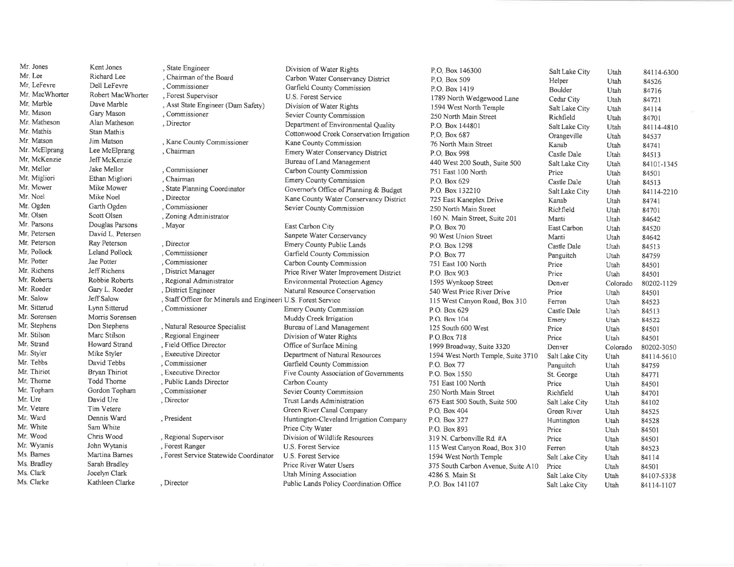| Mr. Jones      | Kent Jones         | , State Engineer                                               | Division of Water Rights                 | P.O. Box 146300                    | Salt Lake City              | Utah     |            |
|----------------|--------------------|----------------------------------------------------------------|------------------------------------------|------------------------------------|-----------------------------|----------|------------|
| Mr. Lee        | Richard Lee        | , Chairman of the Board                                        | Carbon Water Conservancy District        | P.O. Box 509                       | Helper                      | Utah     | 84114-6300 |
| Mr. LeFevre    | Dell LeFevre       | Commissioner                                                   | Garfield County Commission               | P.O. Box 1419                      | Boulder                     |          | 84526      |
| Mr. MacWhorter | Robert MacWhorter  | , Forest Supervisor                                            | U.S. Forest Service                      | 1789 North Wedgewood Lane          |                             | Utah     | 84716      |
| Mr. Marble     | Dave Marble        | , Asst State Engineer (Dam Safety)                             | Division of Water Rights                 | 1594 West North Temple             | Cedar City                  | Utah     | 84721      |
| Mr. Mason      | Gary Mason         | , Commissioner                                                 | Sevier County Commission                 | 250 North Main Street              | Salt Lake City<br>Richfield | Utah     | 84114      |
| Mr. Matheson   | Alan Matheson      | , Director                                                     | Department of Environmental Quality      | P.O. Box 144801                    |                             | Utah     | 84701      |
| Mr. Mathis     | Stan Mathis        |                                                                | Cottonwood Creek Conservation Irrigation | P.O. Box 687                       | Salt Lake City              | Utah     | 84114-4810 |
| Mr. Matson     | Jim Matson         | , Kane County Commissioner                                     | Kane County Commission                   | 76 North Main Street               | Orangeville                 | Utah     | 84537      |
| Mr. McElprang  | Lee McElprang      | , Chairman                                                     | Emery Water Conservancy District         | P.O. Box 998                       | Kanab                       | Utah     | 84741      |
| Mr. McKenzie   | Jeff McKenzie      |                                                                | Bureau of Land Management                |                                    | Castle Dale                 | Utah     | 84513      |
| Mr. Mellor     | Jake Mellor        | , Commissioner                                                 | Carbon County Commission                 | 440 West 200 South, Suite 500      | Salt Lake City              | Utah     | 84101-1345 |
| Mr. Migliori   | Ethan Migliori     | , Chairman                                                     | <b>Emery County Commission</b>           | 751 East 100 North<br>P.O. Box 629 | Price                       | Utah     | 84501      |
| Mr. Mower      | Mike Mower         | , State Planning Coordinator                                   | Governor's Office of Planning & Budget   |                                    | Castle Dale                 | Utah     | 84513      |
| Mr. Noel       | Mike Noel          | , Director                                                     |                                          | P.O. Box 132210                    | Salt Lake City              | Utah     | 84114-2210 |
| Mr. Ogden      | Garth Ogden        | , Commissioner                                                 | Kane County Water Conservancy District   | 725 East Kaneplex Drive            | Kanab                       | Utah     | 84741      |
| Mr. Olsen      | Scott Olsen        | , Zoning Administrator                                         | Sevier County Commission                 | 250 North Main Street              | Richfield                   | Utah     | 84701      |
| Mr. Parsons    | Douglas Parsons    | , Mayor                                                        |                                          | 160 N. Main Street, Suite 201      | Manti                       | Utah     | 84642      |
| Mr. Petersen   | David L. Petersen  |                                                                | East Carbon City                         | P.O. Box 70                        | East Carbon                 | Utah     | 84520      |
| Mr. Peterson   | Ray Peterson       | , Director                                                     | Sanpete Water Conservancy                | 90 West Union Street               | Manti                       | Utah     | 84642      |
| Mr. Pollock    | Leland Pollock     |                                                                | Emery County Public Lands                | P.O. Box 1298                      | Castle Dale                 | Utah     | 84513      |
| Mr. Potter     | Jae Potter         | , Commissioner                                                 | Garfield County Commission               | P.O. Box 77                        | Panguitch                   | Utah     | 84759      |
| Mr. Richens    | Jeff Richens       | , Commissioner                                                 | Carbon County Commission                 | 751 East 100 North                 | Price                       | Utah     | 84501      |
| Mr. Roberts    |                    | , District Manager                                             | Price River Water Improvement District   | P.O. Box 903                       | Price                       | Utah     | 84501      |
|                | Robbie Roberts     | , Regional Administrator                                       | Environmental Protection Agency          | 1595 Wynkoop Street                | Denver                      | Colorado | 80202-1129 |
| Mr. Roeder     | Gary L. Roeder     | , District Engineer                                            | Natural Resource Conservation            | 540 West Price River Drive         | Price                       | Utah     | 84501      |
| Mr. Salow      | Jeff Salow         | , Staff Officer for Minerals and Engineeri U.S. Forest Service |                                          | 115 West Canyon Road, Box 310      | $F$ erron                   | Utah     | 84523      |
| Mr. Sitterud   | Lynn Sitterud      | , Commissioner                                                 | <b>Emery County Commission</b>           | P.O. Box 629                       | Castle Dale                 | Utah     | 84513      |
| Mr. Sorensen   | Morris Sorensen    |                                                                | Muddy Creek Irrigation                   | P.O. Box 104                       | Emery                       | Utah     | 84522      |
| Mr. Stephens   | Don Stephens       | , Natural Resource Specialist                                  | Bureau of Land Management                | 125 South 600 West                 | Price                       | Utah     | 84501      |
| Mr. Stilson    | Marc Stilson       | , Regional Engineer                                            | Division of Water Rights                 | P.O.Box 718                        | Price                       | Utah     | 84501      |
| Mr. Strand     | Howard Strand      | , Field Office Director                                        | Office of Surface Mining                 | 1999 Broadway, Suite 3320          | Denver                      | Colorado | 80202-3050 |
| Mr. Styler     | Mike Styler        | , Executive Director                                           | Department of Natural Resources          | 1594 West North Temple, Suite 3710 | Salt Lake City              | Utah     | 84114-5610 |
| Mr. Tebbs      | David Tebbs        | , Commissioner                                                 | Garfield County Commission               | P.O. Box 77                        | Panguitch                   | Utah     | 84759      |
| Mr. Thiriot    | Bryan Thiriot      | , Executive Director                                           | Five County Association of Governments   | P.O. Box 1550                      | St. George                  | Utah     | 84771      |
| Mr. Thorne     | <b>Todd Thorne</b> | , Public Lands Director                                        | Carbon County                            | 751 East 100 North                 | Price                       | Utah     | 84501      |
| Mr. Topham     | Gordon Topham      | , Commissioner                                                 | Sevier County Commission                 | 250 North Main Street              | Richfield                   | Utah     | 84701      |
| Mr. Ure        | David Ure          | , Director                                                     | Trust Lands Administration               | 675 East 500 South, Suite 500      | Salt Lake City              | Utah     | 84102      |
| Mr. Vetere     | Tim Vetere         |                                                                | Green River Canal Company                | P.O. Box 404                       | Green River                 | Utah     | 84525      |
| Mr. Ward       | Dennis Ward        | , President                                                    | Huntington-Cleveland Irrigation Company  | P.O. Box 327                       | Huntington                  | Utah     | 84528      |
| Mr. White      | Sam White          |                                                                | Price City Water                         | P.O. Box 893                       | Price                       | Utah     | 84501      |
| Mr. Wood       | Chris Wood         | , Regional Supervisor                                          | Division of Wildlife Resources           | 319 N. Carbonville Rd. #A          | Price                       | Utah     | 84501      |
| Mr. Wytanis    | John Wytanis       | , Forest Ranger                                                | U.S. Forest Service                      | 115 West Canyon Road, Box 310      | Ferron                      | Utah     | 84523      |
| Ms. Barnes     | Martina Barnes     | , Forest Service Statewide Coordinator                         | U.S. Forest Service                      | 1594 West North Temple             | Salt Lake City              | Utah     | 84114      |
| Ms. Bradley    | Sarah Bradley      |                                                                | Price River Water Users                  | 375 South Carbon Avenue, Suite A10 | Price                       | Utah     | 84501      |
| Ms. Clark      | Jocelyn Clark      |                                                                | Utah Mining Association                  | 4286 S. Main St                    | Salt Lake City              | Utah     | 84107-5338 |
| Ms. Clarke     | Kathleen Clarke    | , Director                                                     | Public Lands Policy Coordination Office  | P.O. Box 141107                    | Salt Lake City              | Utah     | 84114-1107 |
|                |                    |                                                                |                                          |                                    |                             |          |            |